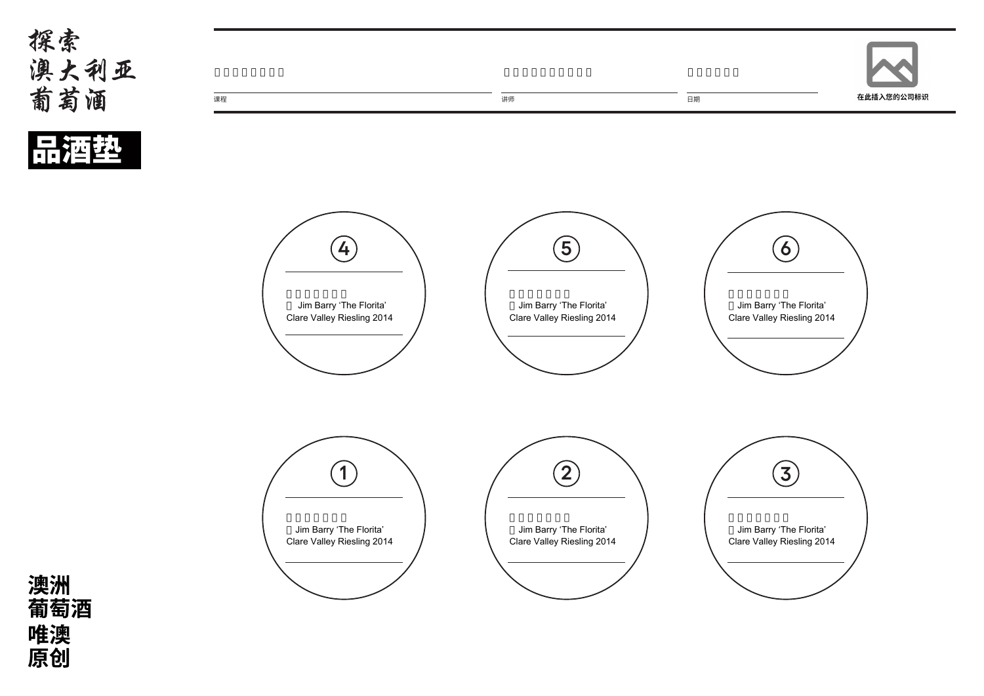品酒垫



澳洲<br>葡萄酒 唯澳<br>原创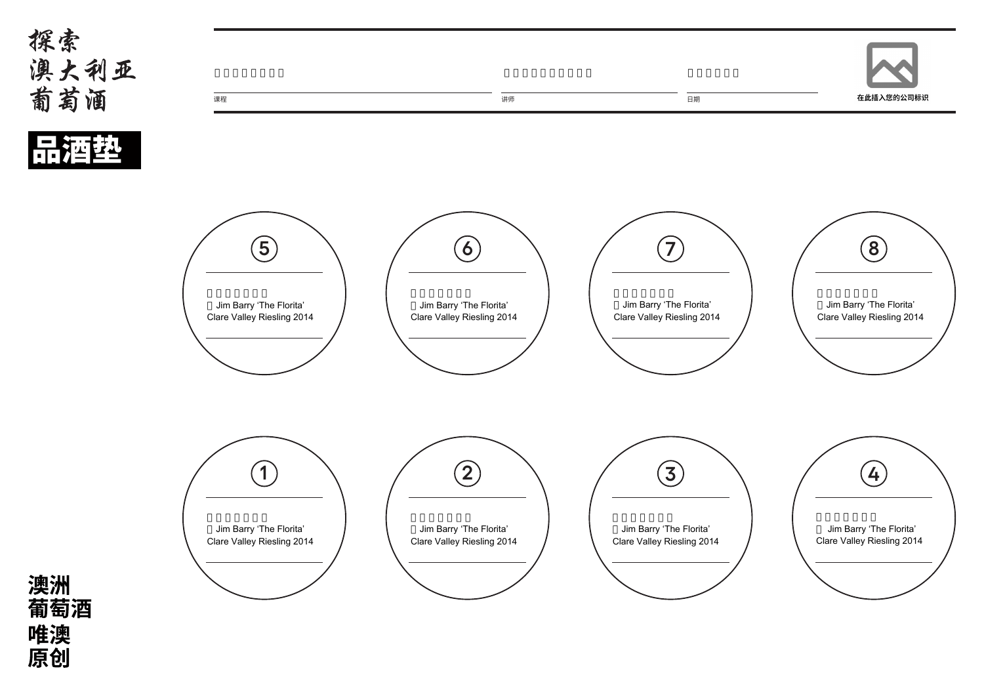品種垫



## 澳洲<br>葡萄酒 唯澳<br>原创



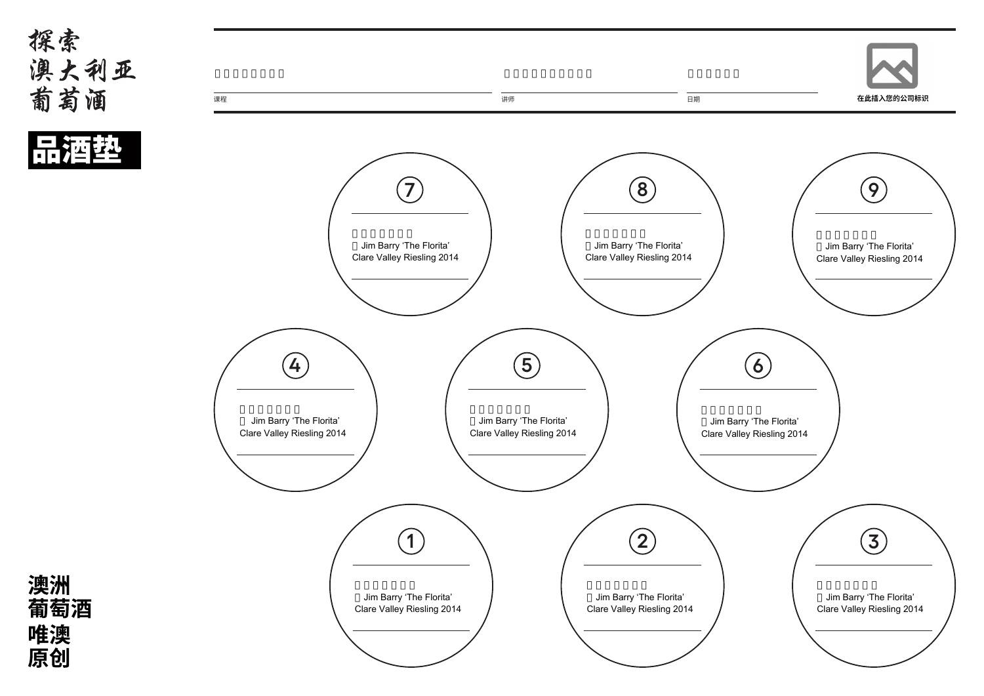



澳洲<br>葡萄酒 唯澳<br>原创